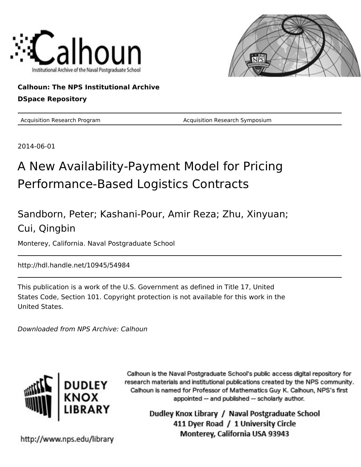



#### **Calhoun: The NPS Institutional Archive DSpace Repository**

Acquisition Research Program **Acquisition Research Symposium** Acquisition Research Symposium

2014-06-01

# A New Availability-Payment Model for Pricing Performance-Based Logistics Contracts

# Sandborn, Peter; Kashani-Pour, Amir Reza; Zhu, Xinyuan; Cui, Qingbin

Monterey, California. Naval Postgraduate School

http://hdl.handle.net/10945/54984

This publication is a work of the U.S. Government as defined in Title 17, United States Code, Section 101. Copyright protection is not available for this work in the United States.

Downloaded from NPS Archive: Calhoun



Calhoun is the Naval Postgraduate School's public access digital repository for research materials and institutional publications created by the NPS community. Calhoun is named for Professor of Mathematics Guy K. Calhoun, NPS's first appointed -- and published -- scholarly author.

> Dudley Knox Library / Naval Postgraduate School 411 Dyer Road / 1 University Circle Monterey, California USA 93943

http://www.nps.edu/library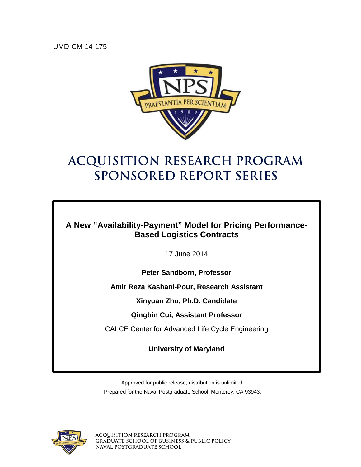UMD-CM-14-175



# **ACQUISITION RESEARCH PROGRAM SPONSORED REPORT SERIES**

**A New "Availability-Payment" Model for Pricing Performance-Based Logistics Contracts**

17 June 2014

**Peter Sandborn, Professor** 

**Amir Reza Kashani-Pour, Research Assistant**

**Xinyuan Zhu, Ph.D. Candidate**

**Qingbin Cui, Assistant Professor**

CALCE Center for Advanced Life Cycle Engineering

**University of Maryland**

Approved for public release; distribution is unlimited. Prepared for the Naval Postgraduate School, Monterey, CA 93943.



**Acquisition Research Program Graduate School of Business & Public Policy Naval Postgraduate School**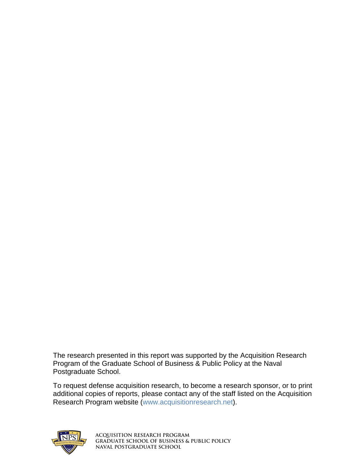The research presented in this report was supported by the Acquisition Research Program of the Graduate School of Business & Public Policy at the Naval Postgraduate School.

To request defense acquisition research, to become a research sponsor, or to print additional copies of reports, please contact any of the staff listed on the Acquisition Research Program website [\(www.acquisitionresearch.net\)](http://www.acquisitionresearch.net/).



**Acquisition Research Program Graduate School of Business & Public Policy Naval Postgraduate School**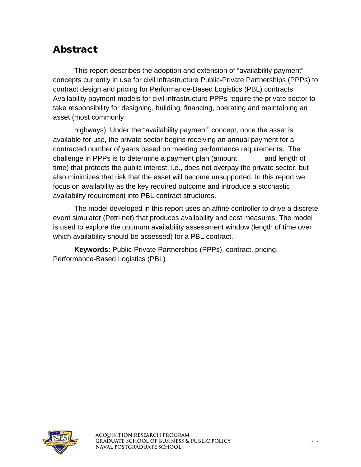## Abstract

This report describes the adoption and extension of "availability payment" concepts currently in use for civil infrastructure Public-Private Partnerships (PPPs) to contract design and pricing for Performance-Based Logistics (PBL) contracts. Availability payment models for civil infrastructure PPPs require the private sector to take responsibility for designing, building, financing, operating and maintaining an asset (most commonly

highways). Under the "availability payment" concept, once the asset is available for use, the private sector begins receiving an annual payment for a contracted number of years based on meeting performance requirements. The challenge in PPPs is to determine a payment plan (amount and length of time) that protects the public interest, i.e., does not overpay the private sector, but also minimizes that risk that the asset will become unsupported. In this report we focus on availability as the key required outcome and introduce a stochastic availability requirement into PBL contract structures.

The model developed in this report uses an affine controller to drive a discrete event simulator (Petri net) that produces availability and cost measures. The model is used to explore the optimum availability assessment window (length of time over which availability should be assessed) for a PBL contract.

**Keywords:** Public-Private Partnerships (PPPs), contract, pricing, Performance-Based Logistics (PBL)

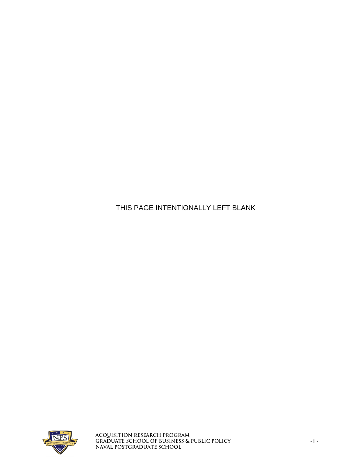THIS PAGE INTENTIONALLY LEFT BLANK



**Acquisition Research Program Graduate School of Business & Public Policy** - ii - **Naval Postgraduate School**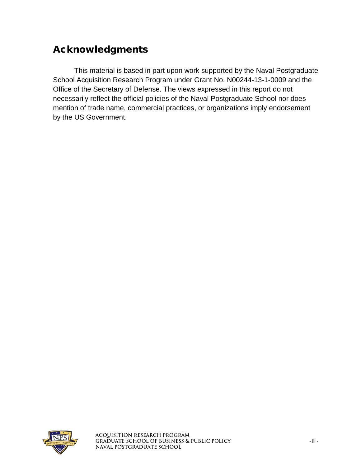## Acknowledgments

This material is based in part upon work supported by the Naval Postgraduate School Acquisition Research Program under Grant No. N00244-13-1-0009 and the Office of the Secretary of Defense. The views expressed in this report do not necessarily reflect the official policies of the Naval Postgraduate School nor does mention of trade name, commercial practices, or organizations imply endorsement by the US Government.



**Acquisition Research Program Graduate School of Business & Public Policy** - iii - **Naval Postgraduate School**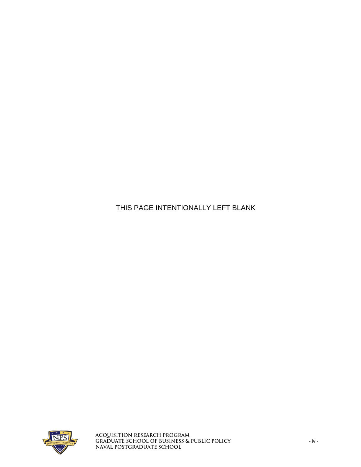THIS PAGE INTENTIONALLY LEFT BLANK



**Acquisition Research Program Graduate School of Business & Public Policy** - iv - **Naval Postgraduate School**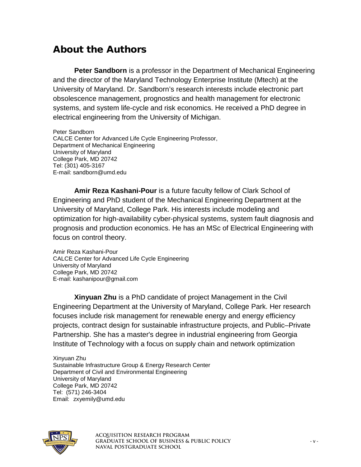### About the Authors

**Peter Sandborn** is a professor in the Department of Mechanical Engineering and the director of the Maryland Technology Enterprise Institute (Mtech) at the University of Maryland. Dr. Sandborn's research interests include electronic part obsolescence management, prognostics and health management for electronic systems, and system life-cycle and risk economics. He received a PhD degree in electrical engineering from the University of Michigan.

Peter Sandborn CALCE Center for Advanced Life Cycle Engineering Professor, Department of Mechanical Engineering University of Maryland College Park, MD 20742 Tel: (301) 405-3167 E-mail: sandborn@umd.edu

**Amir Reza Kashani-Pour** is a future faculty fellow of Clark School of Engineering and PhD student of the Mechanical Engineering Department at the University of Maryland, College Park. His interests include modeling and optimization for high-availability cyber-physical systems, system fault diagnosis and prognosis and production economics. He has an MSc of Electrical Engineering with focus on control theory.

Amir Reza Kashani-Pour CALCE Center for Advanced Life Cycle Engineering University of Maryland College Park, MD 20742 E-mail: kashanipour@gmail.com

**Xinyuan Zhu** is a PhD candidate of project Management in the Civil Engineering Department at the University of Maryland, College Park. Her research focuses include risk management for renewable energy and energy efficiency projects, contract design for sustainable infrastructure projects, and Public–Private Partnership. She has a master's degree in industrial engineering from Georgia Institute of Technology with a focus on supply chain and network optimization

Xinyuan Zhu Sustainable Infrastructure Group & Energy Research Center Department of Civil and Environmental Engineering University of Maryland College Park, MD 20742 Tel: (571) 246-3404 Email:zxyemily@umd.edu



**Acquisition Research Program Graduate School of Business & Public Policy** - v - **Naval Postgraduate School**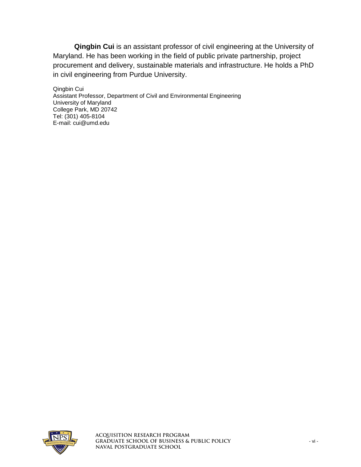**Qingbin Cui** is an assistant professor of civil engineering at the University of Maryland. He has been working in the field of public private partnership, project procurement and delivery, sustainable materials and infrastructure. He holds a PhD in civil engineering from Purdue University.

Qingbin Cui Assistant Professor, Department of Civil and Environmental Engineering University of Maryland College Park, MD 20742 Tel: (301) 405-8104 E-mail: cui@umd.edu



**Acquisition Research Program Graduate School of Business & Public Policy** - vi - **Naval Postgraduate School**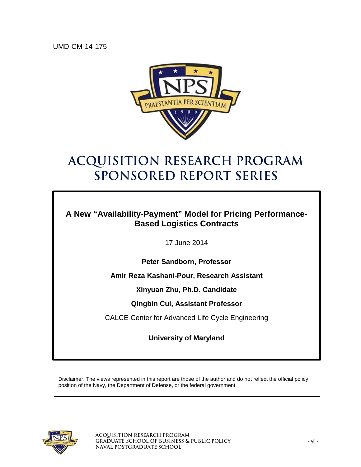

# **Acquisition Research Program sponsored Report Series**

**A New "Availability-Payment" Model for Pricing Performance-Based Logistics Contracts**

17 June 2014

**Peter Sandborn, Professor** 

**Amir Reza Kashani-Pour, Research Assistant**

**Xinyuan Zhu, Ph.D. Candidate**

**Qingbin Cui, Assistant Professor**

CALCE Center for Advanced Life Cycle Engineering

**University of Maryland**

Disclaimer: The views represented in this report are those of the author and do not reflect the official policy position of the Navy, the Department of Defense, or the federal government.



**Acquisition Research Program Graduate School of Business & Public Policy** - vii - **Naval Postgraduate School**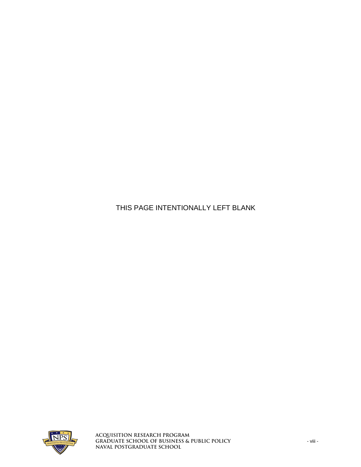THIS PAGE INTENTIONALLY LEFT BLANK



**Acquisition Research Program Graduate School of Business & Public Policy** - viii - **Naval Postgraduate School**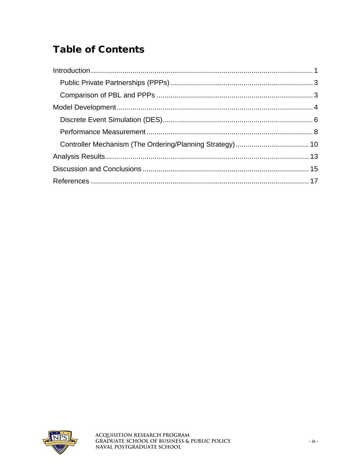# **Table of Contents**

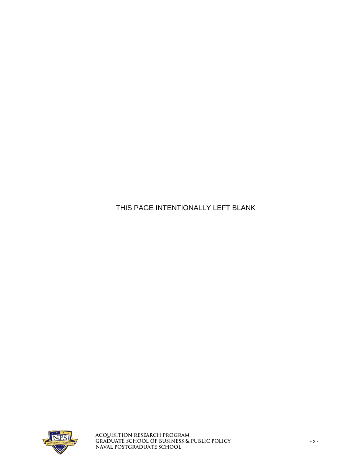THIS PAGE INTENTIONALLY LEFT BLANK



**Acquisition Research Program Graduate School of Business & Public Policy** - x - **Naval Postgraduate School**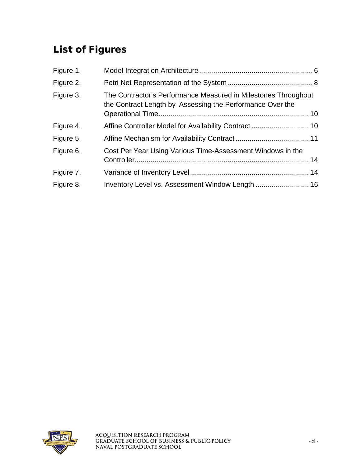# List of Figures

| Figure 1. |                                                                                                                             |  |  |
|-----------|-----------------------------------------------------------------------------------------------------------------------------|--|--|
| Figure 2. |                                                                                                                             |  |  |
| Figure 3. | The Contractor's Performance Measured in Milestones Throughout<br>the Contract Length by Assessing the Performance Over the |  |  |
| Figure 4. |                                                                                                                             |  |  |
| Figure 5. |                                                                                                                             |  |  |
| Figure 6. | Cost Per Year Using Various Time-Assessment Windows in the                                                                  |  |  |
| Figure 7. |                                                                                                                             |  |  |
| Figure 8. | Inventory Level vs. Assessment Window Length  16                                                                            |  |  |

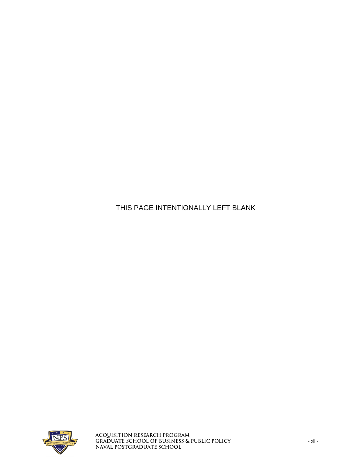THIS PAGE INTENTIONALLY LEFT BLANK



**Acquisition Research Program Graduate School of Business & Public Policy** - xii - **Naval Postgraduate School**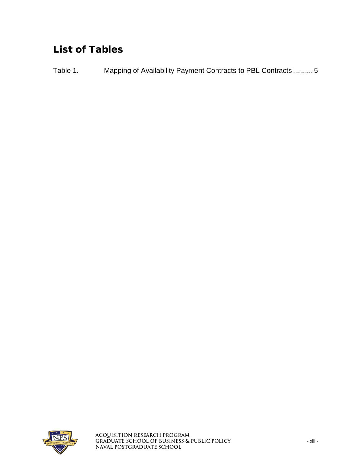## List of Tables

Table 1. Mapping of Availability [Payment Contracts to PBL Contracts](#page-21-0) .......... 5



**Acquisition Research Program Graduate School of Business & Public Policy** - xiii - **Naval Postgraduate School**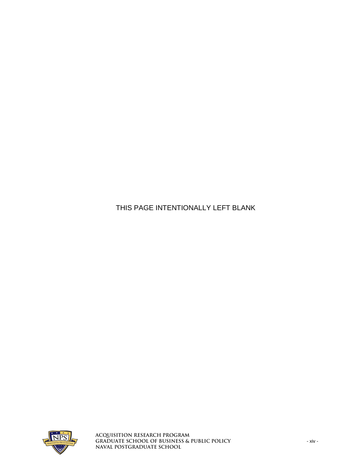THIS PAGE INTENTIONALLY LEFT BLANK



**Acquisition Research Program Graduate School of Business & Public Policy** - xiv - **Naval Postgraduate School**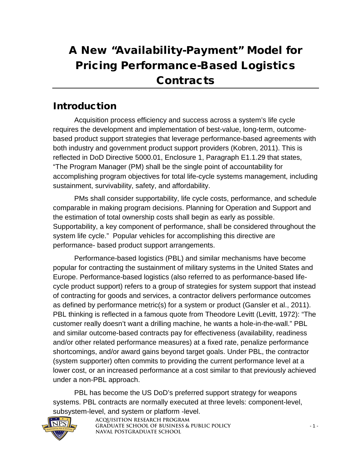# A New "Availability-Payment" Model for Pricing Performance-Based Logistics **Contracts**

### <span id="page-17-0"></span>Introduction

Acquisition process efficiency and success across a system's life cycle requires the development and implementation of best-value, long-term, outcomebased product support strategies that leverage performance-based agreements with both industry and government product support providers (Kobren, 2011). This is reflected in DoD Directive 5000.01, Enclosure 1, Paragraph E1.1.29 that states, "The Program Manager (PM) shall be the single point of accountability for accomplishing program objectives for total life-cycle systems management, including sustainment, survivability, safety, and affordability.

PMs shall consider supportability, life cycle costs, performance, and schedule comparable in making program decisions. Planning for Operation and Support and the estimation of total ownership costs shall begin as early as possible. Supportability, a key component of performance, shall be considered throughout the system life cycle." Popular vehicles for accomplishing this directive are performance- based product support arrangements.

Performance-based logistics (PBL) and similar mechanisms have become popular for contracting the sustainment of military systems in the United States and Europe. Performance-based logistics (also referred to as performance-based lifecycle product support) refers to a group of strategies for system support that instead of contracting for goods and services, a contractor delivers performance outcomes as defined by performance metric(s) for a system or product (Gansler et al., 2011). PBL thinking is reflected in a famous quote from Theodore Levitt (Levitt, 1972): "The customer really doesn't want a drilling machine, he wants a hole-in-the-wall." PBL and similar outcome-based contracts pay for effectiveness (availability, readiness and/or other related performance measures) at a fixed rate, penalize performance shortcomings, and/or award gains beyond target goals. Under PBL, the contractor (system supporter) often commits to providing the current performance level at a lower cost, or an increased performance at a cost similar to that previously achieved under a non-PBL approach.

PBL has become the US DoD's preferred support strategy for weapons systems. PBL contracts are normally executed at three levels: component-level, subsystem-level, and system or platform -level.



**Acquisition Research Program Graduate School of Business & Public Policy** - 1 - **Naval Postgraduate School**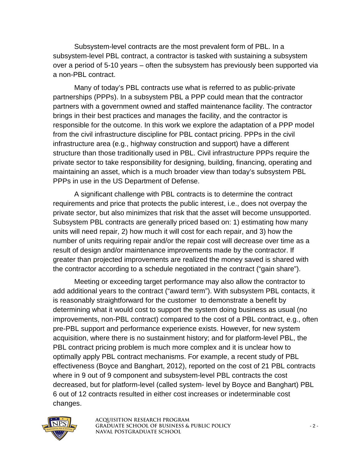Subsystem-level contracts are the most prevalent form of PBL. In a subsystem-level PBL contract, a contractor is tasked with sustaining a subsystem over a period of 5-10 years – often the subsystem has previously been supported via a non-PBL contract.

Many of today's PBL contracts use what is referred to as public-private partnerships (PPPs). In a subsystem PBL a PPP could mean that the contractor partners with a government owned and staffed maintenance facility. The contractor brings in their best practices and manages the facility, and the contractor is responsible for the outcome. In this work we explore the adaptation of a PPP model from the civil infrastructure discipline for PBL contact pricing. PPPs in the civil infrastructure area (e.g., highway construction and support) have a different structure than those traditionally used in PBL. Civil infrastructure PPPs require the private sector to take responsibility for designing, building, financing, operating and maintaining an asset, which is a much broader view than today's subsystem PBL PPPs in use in the US Department of Defense.

A significant challenge with PBL contracts is to determine the contract requirements and price that protects the public interest, i.e., does not overpay the private sector, but also minimizes that risk that the asset will become unsupported. Subsystem PBL contracts are generally priced based on: 1) estimating how many units will need repair, 2) how much it will cost for each repair, and 3) how the number of units requiring repair and/or the repair cost will decrease over time as a result of design and/or maintenance improvements made by the contractor. If greater than projected improvements are realized the money saved is shared with the contractor according to a schedule negotiated in the contract ("gain share").

Meeting or exceeding target performance may also allow the contractor to add additional years to the contract ("award term"). With subsystem PBL contacts, it is reasonably straightforward for the customer to demonstrate a benefit by determining what it would cost to support the system doing business as usual (no improvements, non-PBL contract) compared to the cost of a PBL contract, e.g., often pre-PBL support and performance experience exists. However, for new system acquisition, where there is no sustainment history; and for platform-level PBL, the PBL contract pricing problem is much more complex and it is unclear how to optimally apply PBL contract mechanisms. For example, a recent study of PBL effectiveness (Boyce and Banghart, 2012), reported on the cost of 21 PBL contracts where in 9 out of 9 component and subsystem-level PBL contracts the cost decreased, but for platform-level (called system- level by Boyce and Banghart) PBL 6 out of 12 contracts resulted in either cost increases or indeterminable cost changes.

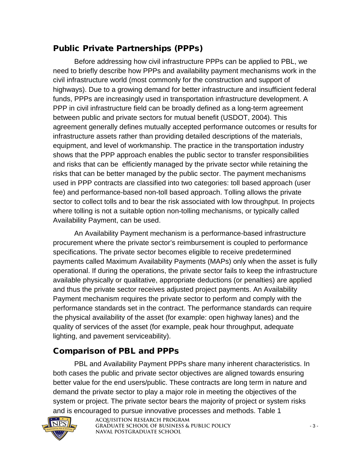#### <span id="page-19-0"></span>Public Private Partnerships (PPPs)

Before addressing how civil infrastructure PPPs can be applied to PBL, we need to briefly describe how PPPs and availability payment mechanisms work in the civil infrastructure world (most commonly for the construction and support of highways). Due to a growing demand for better infrastructure and insufficient federal funds, PPPs are increasingly used in transportation infrastructure development. A PPP in civil infrastructure field can be broadly defined as a long-term agreement between public and private sectors for mutual benefit (USDOT, 2004). This agreement generally defines mutually accepted performance outcomes or results for infrastructure assets rather than providing detailed descriptions of the materials, equipment, and level of workmanship. The practice in the transportation industry shows that the PPP approach enables the public sector to transfer responsibilities and risks that can be efficiently managed by the private sector while retaining the risks that can be better managed by the public sector. The payment mechanisms used in PPP contracts are classified into two categories: toll based approach (user fee) and performance-based non-toll based approach. Tolling allows the private sector to collect tolls and to bear the risk associated with low throughput. In projects where tolling is not a suitable option non-tolling mechanisms, or typically called Availability Payment, can be used.

An Availability Payment mechanism is a performance-based infrastructure procurement where the private sector's reimbursement is coupled to performance specifications. The private sector becomes eligible to receive predetermined payments called Maximum Availability Payments (MAPs) only when the asset is fully operational. If during the operations, the private sector fails to keep the infrastructure available physically or qualitative, appropriate deductions (or penalties) are applied and thus the private sector receives adjusted project payments. An Availability Payment mechanism requires the private sector to perform and comply with the performance standards set in the contract. The performance standards can require the physical availability of the asset (for example: open highway lanes) and the quality of services of the asset (for example, peak hour throughput, adequate lighting, and pavement serviceability).

### <span id="page-19-1"></span>Comparison of PBL and PPPs

PBL and Availability Payment PPPs share many inherent characteristics. In both cases the public and private sector objectives are aligned towards ensuring better value for the end users/public. These contracts are long term in nature and demand the private sector to play a major role in meeting the objectives of the system or project. The private sector bears the majority of project or system risks and is encouraged to pursue innovative processes and methods. Table 1



**Acquisition Research Program Graduate School of Business & Public Policy** - 3 - **Naval Postgraduate School**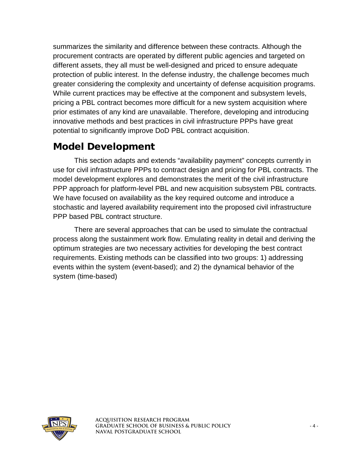summarizes the similarity and difference between these contracts. Although the procurement contracts are operated by different public agencies and targeted on different assets, they all must be well-designed and priced to ensure adequate protection of public interest. In the defense industry, the challenge becomes much greater considering the complexity and uncertainty of defense acquisition programs. While current practices may be effective at the component and subsystem levels, pricing a PBL contract becomes more difficult for a new system acquisition where prior estimates of any kind are unavailable. Therefore, developing and introducing innovative methods and best practices in civil infrastructure PPPs have great potential to significantly improve DoD PBL contract acquisition.

## <span id="page-20-0"></span>Model Development

This section adapts and extends "availability payment" concepts currently in use for civil infrastructure PPPs to contract design and pricing for PBL contracts. The model development explores and demonstrates the merit of the civil infrastructure PPP approach for platform-level PBL and new acquisition subsystem PBL contracts. We have focused on availability as the key required outcome and introduce a stochastic and layered availability requirement into the proposed civil infrastructure PPP based PBL contract structure.

There are several approaches that can be used to simulate the contractual process along the sustainment work flow. Emulating reality in detail and deriving the optimum strategies are two necessary activities for developing the best contract requirements. Existing methods can be classified into two groups: 1) addressing events within the system (event-based); and 2) the dynamical behavior of the system (time-based)

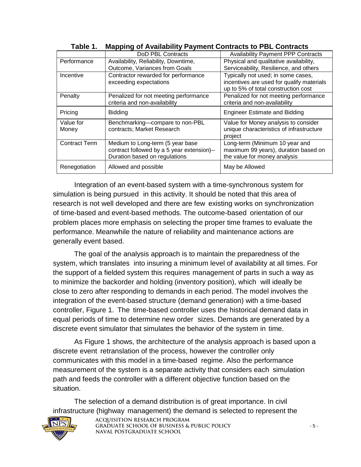<span id="page-21-0"></span>

|                      | <b>DoD PBL Contracts</b>                   | <b>Availability Payment PPP Contracts</b> |  |
|----------------------|--------------------------------------------|-------------------------------------------|--|
| Performance          | Availability, Reliability, Downtime,       | Physical and qualitative availability,    |  |
|                      | Outcome, Variances from Goals              | Serviceability, Resilience, and others    |  |
| Incentive            | Contractor rewarded for performance        | Typically not used; in some cases,        |  |
|                      | exceeding expectations                     | incentives are used for qualify materials |  |
|                      |                                            | up to 5% of total construction cost       |  |
| Penalty              | Penalized for not meeting performance      | Penalized for not meeting performance     |  |
|                      | criteria and non-availability              | criteria and non-availability             |  |
| Pricing              |                                            | <b>Engineer Estimate and Bidding</b>      |  |
|                      | <b>Bidding</b>                             |                                           |  |
| Value for            | Benchmarking-compare to non-PBL            | Value for Money analysis to consider      |  |
| Money                | contracts; Market Research                 | unique characteristics of infrastructure  |  |
|                      |                                            | project                                   |  |
| <b>Contract Term</b> | Medium to Long-term (5 year base           | Long-term (Minimum 10 year and            |  |
|                      | contract followed by a 5 year extension)-- | maximum 99 years), duration based on      |  |
|                      | Duration based on regulations              | the value for money analysis              |  |
| Renegotiation        | Allowed and possible                       | May be Allowed                            |  |
|                      |                                            |                                           |  |

|  | Table 1. Mapping of Availability Payment Contracts to PBL Contracts |  |  |  |
|--|---------------------------------------------------------------------|--|--|--|
|--|---------------------------------------------------------------------|--|--|--|

Integration of an event-based system with a time-synchronous system for simulation is being pursued in this activity. It should be noted that this area of research is not well developed and there are few existing works on synchronization of time-based and event-based methods. The outcome-based orientation of our problem places more emphasis on selecting the proper time frames to evaluate the performance. Meanwhile the nature of reliability and maintenance actions are generally event based.

The goal of the analysis approach is to maintain the preparedness of the system, which translates into insuring a minimum level of availability at all times. For the support of a fielded system this requires management of parts in such a way as to minimize the backorder and holding (inventory position), which will ideally be close to zero after responding to demands in each period. The model involves the integration of the event-based structure (demand generation) with a time-based controller, Figure 1. The time-based controller uses the historical demand data in equal periods of time to determine new order sizes. Demands are generated by a discrete event simulator that simulates the behavior of the system in time.

As Figure 1 shows, the architecture of the analysis approach is based upon a discrete event retranslation of the process, however the controller only communicates with this model in a time-based regime. Also the performance measurement of the system is a separate activity that considers each simulation path and feeds the controller with a different objective function based on the situation.

The selection of a demand distribution is of great importance. In civil infrastructure (highway management) the demand is selected to represent the



**Acquisition Research Program Graduate School of Business & Public Policy** - 5 - **Naval Postgraduate School**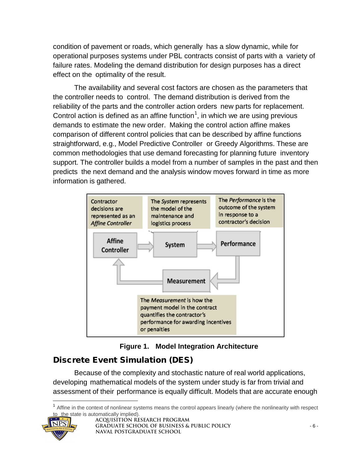condition of pavement or roads, which generally has a slow dynamic, while for operational purposes systems under PBL contracts consist of parts with a variety of failure rates. Modeling the demand distribution for design purposes has a direct effect on the optimality of the result.

The availability and several cost factors are chosen as the parameters that the controller needs to control. The demand distribution is derived from the reliability of the parts and the controller action orders new parts for replacement. Control action is defined as an affine function<sup>[1](#page-22-2)</sup>, in which we are using previous demands to estimate the new order. Making the control action affine makes comparison of different control policies that can be described by affine functions straightforward, e.g., Model Predictive Controller or Greedy Algorithms. These are common methodologies that use demand forecasting for planning future inventory support. The controller builds a model from a number of samples in the past and then predicts the next demand and the analysis window moves forward in time as more information is gathered.



#### **Figure 1. Model Integration Architecture**

### <span id="page-22-1"></span><span id="page-22-0"></span>Discrete Event Simulation (DES)

Because of the complexity and stochastic nature of real world applications, developing mathematical models of the system under study is far from trivial and assessment of their performance is equally difficult. Models that are accurate enough

<span id="page-22-2"></span> $<sup>1</sup>$  Affine in the context of nonlinear systems means the control appears linearly (where the nonlinearity with respect</sup> the state is automatically implied). 



**Acquisition Research Program Graduate School of Business & Public Policy** - 6 - **Naval Postgraduate School**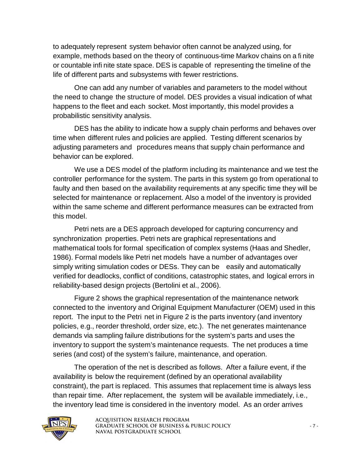to adequately represent system behavior often cannot be analyzed using, for example, methods based on the theory of continuous-time Markov chains on a fi nite or countable infi nite state space. DES is capable of representing the timeline of the life of different parts and subsystems with fewer restrictions.

One can add any number of variables and parameters to the model without the need to change the structure of model. DES provides a visual indication of what happens to the fleet and each socket. Most importantly, this model provides a probabilistic sensitivity analysis.

DES has the ability to indicate how a supply chain performs and behaves over time when different rules and policies are applied. Testing different scenarios by adjusting parameters and procedures means that supply chain performance and behavior can be explored.

We use a DES model of the platform including its maintenance and we test the controller performance for the system. The parts in this system go from operational to faulty and then based on the availability requirements at any specific time they will be selected for maintenance or replacement. Also a model of the inventory is provided within the same scheme and different performance measures can be extracted from this model.

Petri nets are a DES approach developed for capturing concurrency and synchronization properties. Petri nets are graphical representations and mathematical tools for formal specification of complex systems (Haas and Shedler, 1986). Formal models like Petri net models have a number of advantages over simply writing simulation codes or DESs. They can be easily and automatically verified for deadlocks, conflict of conditions, catastrophic states, and logical errors in reliability-based design projects (Bertolini et al., 2006).

Figure 2 shows the graphical representation of the maintenance network connected to the inventory and Original Equipment Manufacturer (OEM) used in this report. The input to the Petri net in Figure 2 is the parts inventory (and inventory policies, e.g., reorder threshold, order size, etc.). The net generates maintenance demands via sampling failure distributions for the system's parts and uses the inventory to support the system's maintenance requests. The net produces a time series (and cost) of the system's failure, maintenance, and operation.

The operation of the net is described as follows. After a failure event, if the availability is below the requirement (defined by an operational availability constraint), the part is replaced. This assumes that replacement time is always less than repair time. After replacement, the system will be available immediately, i.e., the inventory lead time is considered in the inventory model. As an order arrives

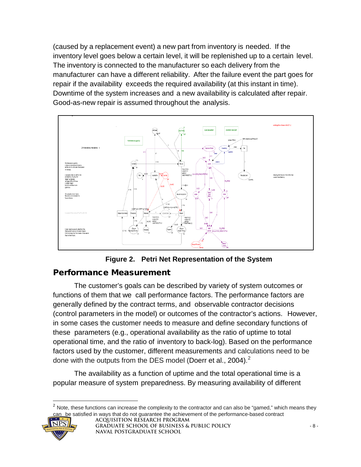(caused by a replacement event) a new part from inventory is needed. If the inventory level goes below a certain level, it will be replenished up to a certain level. The inventory is connected to the manufacturer so each delivery from the manufacturer can have a different reliability. After the failure event the part goes for repair if the availability exceeds the required availability (at this instant in time). Downtime of the system increases and a new availability is calculated after repair. Good-as-new repair is assumed throughout the analysis.





#### <span id="page-24-1"></span><span id="page-24-0"></span>Performance Measurement

The customer's goals can be described by variety of system outcomes or functions of them that we call performance factors. The performance factors are generally defined by the contract terms, and observable contractor decisions (control parameters in the model) or outcomes of the contractor's actions. However, in some cases the customer needs to measure and define secondary functions of these parameters (e.g., operational availability as the ratio of uptime to total operational time, and the ratio of inventory to back-log). Based on the performance factors used by the customer, different measurements and calculations need to be done with the outputs from the DES model (Doerr et al., [2](#page-24-2)004). $^2$ 

The availability as a function of uptime and the total operational time is a popular measure of system preparedness. By measuring availability of different

 $2$  Note, these functions can increase the complexity to the contractor and can also be "gamed," which means they can be satisfied in ways that do not guarantee the achievement of the performance-based contract  $\overline{a}$ 

<span id="page-24-2"></span>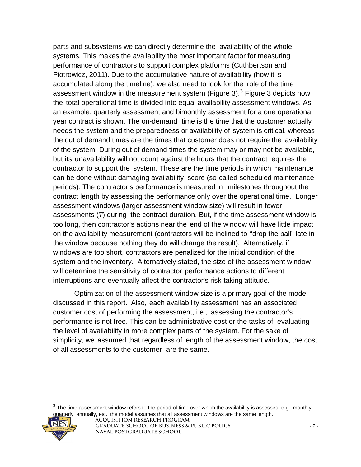parts and subsystems we can directly determine the availability of the whole systems. This makes the availability the most important factor for measuring performance of contractors to support complex platforms (Cuthbertson and Piotrowicz, 2011). Due to the accumulative nature of availability (how it is accumulated along the timeline), we also need to look for the role of the time assessment window in the measurement system (Figure [3](#page-25-0)).<sup>3</sup> Figure 3 depicts how the total operational time is divided into equal availability assessment windows. As an example, quarterly assessment and bimonthly assessment for a one operational year contract is shown. The on-demand time is the time that the customer actually needs the system and the preparedness or availability of system is critical, whereas the out of demand times are the times that customer does not require the availability of the system. During out of demand times the system may or may not be available, but its unavailability will not count against the hours that the contract requires the contractor to support the system. These are the time periods in which maintenance can be done without damaging availability score (so-called scheduled maintenance periods). The contractor's performance is measured in milestones throughout the contract length by assessing the performance only over the operational time. Longer assessment windows (larger assessment window size) will result in fewer assessments (*T*) during the contract duration. But, if the time assessment window is too long, then contractor's actions near the end of the window will have little impact on the availability measurement (contractors will be inclined to "drop the ball" late in the window because nothing they do will change the result). Alternatively, if windows are too short, contractors are penalized for the initial condition of the system and the inventory. Alternatively stated, the size of the assessment window will determine the sensitivity of contractor performance actions to different interruptions and eventually affect the contractor's risk-taking attitude.

Optimization of the assessment window size is a primary goal of the model discussed in this report. Also, each availability assessment has an associated customer cost of performing the assessment, i.e., assessing the contractor's performance is not free. This can be administrative cost or the tasks of evaluating the level of availability in more complex parts of the system. For the sake of simplicity, we assumed that regardless of length of the assessment window, the cost of all assessments to the customer are the same.

<span id="page-25-0"></span> $3$  The time assessment window refers to the period of time over which the availability is assessed, e.g., monthly, quarterly, annually, etc.; the model assumes that all assessment windows are the same length.



 $\overline{a}$ 

**Acquisition Research Program Graduate School of Business & Public Policy** - 9 - **Naval Postgraduate School**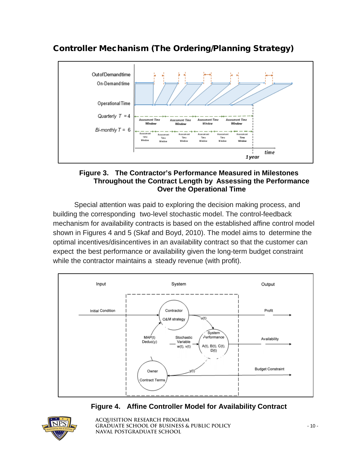

## <span id="page-26-0"></span>Controller Mechanism (The Ordering/Planning Strategy)

#### <span id="page-26-1"></span>**Figure 3. The Contractor's Performance Measured in Milestones Throughout the Contract Length by Assessing the Performance Over the Operational Time**

Special attention was paid to exploring the decision making process, and building the corresponding two-level stochastic model. The control-feedback mechanism for availability contracts is based on the established affine control model shown in Figures 4 and 5 (Skaf and Boyd, 2010). The model aims to determine the optimal incentives/disincentives in an availability contract so that the customer can expect the best performance or availability given the long-term budget constraint while the contractor maintains a steady revenue (with profit).



#### **Figure 4. Affine Controller Model for Availability Contract**

<span id="page-26-2"></span>

**Acquisition Research Program Graduate School of Business & Public Policy** - 10 - **Naval Postgraduate School**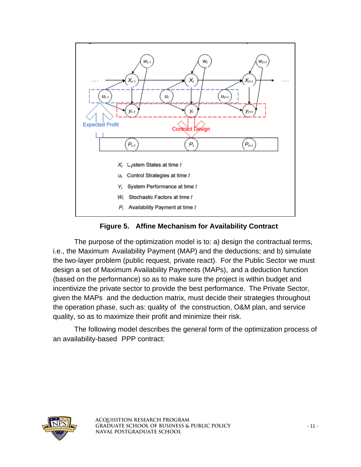

**Figure 5. Affine Mechanism for Availability Contract**

<span id="page-27-0"></span>The purpose of the optimization model is to: a) design the contractual terms, i.e., the Maximum Availability Payment (MAP) and the deductions; and b) simulate the two-layer problem (public request, private react). For the Public Sector we must design a set of Maximum Availability Payments (MAPs), and a deduction function (based on the performance) so as to make sure the project is within budget and incentivize the private sector to provide the best performance. The Private Sector, given the MAPs and the deduction matrix, must decide their strategies throughout the operation phase, such as: quality of the construction, O&M plan, and service quality, so as to maximize their profit and minimize their risk.

The following model describes the general form of the optimization process of an availability-based PPP contract:



**Acquisition Research Program Graduate School of Business & Public Policy** - 11 - **Naval Postgraduate School**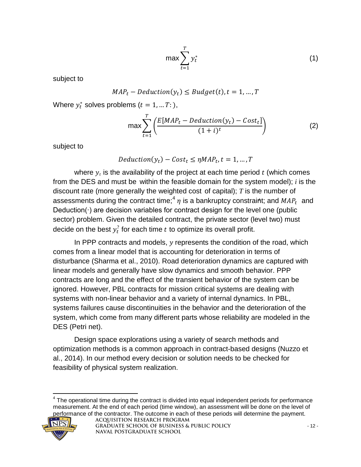$$
\max \sum_{t=1}^{T} y_t^* \tag{1}
$$

subject to

$$
MAPt - Deduction(yt) \leq Budget(t), t = 1, ..., T
$$

Where  $y_t^*$  solves problems ( $t = 1, ...T$ : ),

$$
\max \sum_{t=1}^{T} \left( \frac{E[MAP_t - Deduction(y_t) - Cost_t]}{(1+i)^t} \right) \tag{2}
$$

subject to

#### $Deduction(y_t) - Cost_t \leq \eta MAP_t, t = 1, ..., T$

assessments during the contract time;<sup>[4](#page-28-0)</sup>  $\eta$  is a bankruptcy constraint; and  $\mathit{MAP}_t$  and where  $y_t$  is the availability of the project at each time period  $t$  (which comes from the DES and must be within the feasible domain for the system model); *i* is the discount rate (more generally the weighted cost of capital); *T* is the number of Deduction(∙) are decision variables for contract design for the level one (public sector) problem. Given the detailed contract, the private sector (level two) must decide on the best  $y_t^j$  for each time  $t$  to optimize its overall profit.

In PPP contracts and models,  $\nu$  represents the condition of the road, which comes from a linear model that is accounting for deterioration in terms of disturbance (Sharma et al., 2010). Road deterioration dynamics are captured with linear models and generally have slow dynamics and smooth behavior. PPP contracts are long and the effect of the transient behavior of the system can be ignored. However, PBL contracts for mission critical systems are dealing with systems with non-linear behavior and a variety of internal dynamics. In PBL, systems failures cause discontinuities in the behavior and the deterioration of the system, which come from many different parts whose reliability are modeled in the DES (Petri net).

Design space explorations using a variety of search methods and optimization methods is a common approach in contract-based designs (Nuzzo et al., 2014). In our method every decision or solution needs to be checked for feasibility of physical system realization.

<span id="page-28-0"></span> $4$  The operational time during the contract is divided into equal independent periods for performance measurement. At the end of each period (time window), an assessment will be done on the level of performance of the contractor. The outcome in each of these periods will determine the payment.



 $\overline{\phantom{a}}$ 

**Acquisition Research Program Graduate School of Business & Public Policy** - 12 - **Naval Postgraduate School**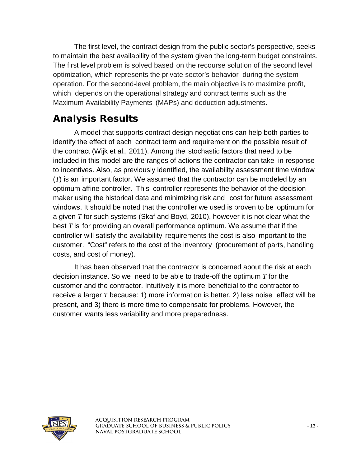The first level, the contract design from the public sector's perspective, seeks to maintain the best availability of the system given the long-term budget constraints. The first level problem is solved based on the recourse solution of the second level optimization, which represents the private sector's behavior during the system operation. For the second-level problem, the main objective is to maximize profit, which depends on the operational strategy and contract terms such as the Maximum Availability Payments (MAPs) and deduction adjustments.

# <span id="page-29-0"></span>Analysis Results

A model that supports contract design negotiations can help both parties to identify the effect of each contract term and requirement on the possible result of the contract (Wijk et al., 2011). Among the stochastic factors that need to be included in this model are the ranges of actions the contractor can take in response to incentives. Also, as previously identified, the availability assessment time window (*T*) is an important factor. We assumed that the contractor can be modeled by an optimum affine controller. This controller represents the behavior of the decision maker using the historical data and minimizing risk and cost for future assessment windows. It should be noted that the controller we used is proven to be optimum for a given *T* for such systems (Skaf and Boyd, 2010), however it is not clear what the best *T* is for providing an overall performance optimum. We assume that if the controller will satisfy the availability requirements the cost is also important to the customer. "Cost" refers to the cost of the inventory (procurement of parts, handling costs, and cost of money).

It has been observed that the contractor is concerned about the risk at each decision instance. So we need to be able to trade-off the optimum *T* for the customer and the contractor. Intuitively it is more beneficial to the contractor to receive a larger *T* because: 1) more information is better, 2) less noise effect will be present, and 3) there is more time to compensate for problems. However, the customer wants less variability and more preparedness.

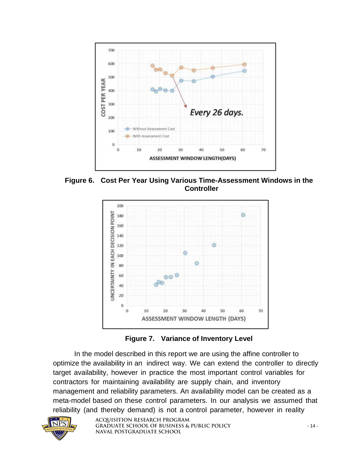

<span id="page-30-0"></span>**Figure 6. Cost Per Year Using Various Time-Assessment Windows in the Controller**



**Figure 7. Variance of Inventory Level**

<span id="page-30-1"></span>In the model described in this report we are using the affine controller to optimize the availability in an indirect way. We can extend the controller to directly target availability, however in practice the most important control variables for contractors for maintaining availability are supply chain, and inventory management and reliability parameters. An availability model can be created as a meta-model based on these control parameters. In our analysis we assumed that reliability (and thereby demand) is not a control parameter, however in reality



**Acquisition Research Program Graduate School of Business & Public Policy** - 14 - **Naval Postgraduate School**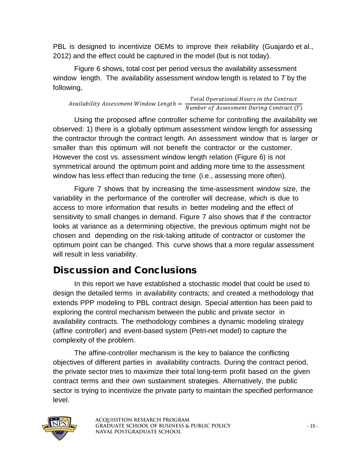PBL is designed to incentivize OEMs to improve their reliability (Guajardo et al., 2012) and the effect could be captured in the model (but is not today).

Figure 6 shows, total cost per period versus the availability assessment window length. The availability assessment window length is related to *T* by the following,

Availability Assessment Window Length  $=$   $\frac{Total\ Operational\ Hours\ in\ the\ Contract\ (T)}{Number\ of\ Assessment\ During\ Contract\ (T)}$ 

Using the proposed affine controller scheme for controlling the availability we observed: 1) there is a globally optimum assessment window length for assessing the contractor through the contract length. An assessment window that is larger or smaller than this optimum will not benefit the contractor or the customer. However the cost vs. assessment window length relation (Figure 6) is not symmetrical around the optimum point and adding more time to the assessment window has less effect than reducing the time (i.e., assessing more often).

Figure 7 shows that by increasing the time-assessment window size, the variability in the performance of the controller will decrease, which is due to access to more information that results in better modeling and the effect of sensitivity to small changes in demand. Figure 7 also shows that if the contractor looks at variance as a determining objective, the previous optimum might not be chosen and depending on the risk-taking attitude of contractor or customer the optimum point can be changed. This curve shows that a more regular assessment will result in less variability.

# <span id="page-31-0"></span>Discussion and Conclusions

In this report we have established a stochastic model that could be used to design the detailed terms in availability contracts; and created a methodology that extends PPP modeling to PBL contract design. Special attention has been paid to exploring the control mechanism between the public and private sector in availability contracts. The methodology combines a dynamic modeling strategy (affine controller) and event-based system (Petri-net model) to capture the complexity of the problem.

The affine-controller mechanism is the key to balance the conflicting objectives of different parties in availability contracts. During the contract period, the private sector tries to maximize their total long-term profit based on the given contract terms and their own sustainment strategies. Alternatively, the public sector is trying to incentivize the private party to maintain the specified performance level.

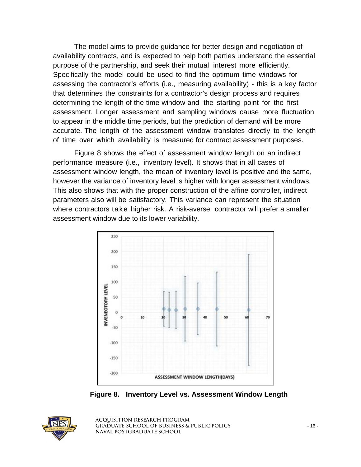The model aims to provide guidance for better design and negotiation of availability contracts, and is expected to help both parties understand the essential purpose of the partnership, and seek their mutual interest more efficiently. Specifically the model could be used to find the optimum time windows for assessing the contractor's efforts (i.e., measuring availability) - this is a key factor that determines the constraints for a contractor's design process and requires determining the length of the time window and the starting point for the first assessment. Longer assessment and sampling windows cause more fluctuation to appear in the middle time periods, but the prediction of demand will be more accurate. The length of the assessment window translates directly to the length of time over which availability is measured for contract assessment purposes.

Figure 8 shows the effect of assessment window length on an indirect performance measure (i.e., inventory level). It shows that in all cases of assessment window length, the mean of inventory level is positive and the same, however the variance of inventory level is higher with longer assessment windows. This also shows that with the proper construction of the affine controller, indirect parameters also will be satisfactory. This variance can represent the situation where contractors take higher risk. A risk-averse contractor will prefer a smaller assessment window due to its lower variability.



**Figure 8. Inventory Level vs. Assessment Window Length**

<span id="page-32-0"></span>

**Acquisition Research Program** GRADUATE SCHOOL OF BUSINESS & PUBLIC POLICY **16 Naval Postgraduate School**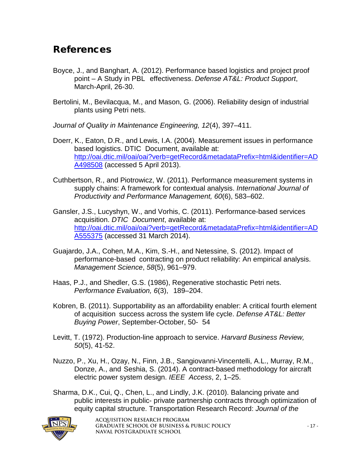### <span id="page-33-0"></span>References

- Boyce, J., and Banghart, A. (2012). Performance based logistics and project proof point – A Study in PBL effectiveness. *Defense AT&L: Product Support*, March-April, 26-30.
- Bertolini, M., Bevilacqua, M., and Mason, G. (2006). Reliability design of industrial plants using Petri nets.

*Journal of Quality in Maintenance Engineering, 12*(4), 397–411.

- Doerr, K., Eaton, D.R., and Lewis, I.A. (2004). Measurement issues in performance based logistics. DTIC Document, available at: http://oai.dtic.mil/oai/oai?verb=getRecord&metadataPrefix=html&identifier=AD A498508 (accessed 5 April 2013).
- Cuthbertson, R., and Piotrowicz, W. (2011). Performance measurement systems in supply chains: A framework for contextual analysis. *International Journal of Productivity and Performance Management, 60*(6), 583–602.
- Gansler, J.S., Lucyshyn, W., and Vorhis, C. (2011). Performance-based services acquisition. *DTIC Document*, available at[:](http://oai.dtic.mil/oai/oai?verb=getRecord&metadataPrefix=html&identifier=ADA555375) [http://oai.dtic.mil/oai/oai?verb=getRecord&metadataPrefix=html&identifier=AD](http://oai.dtic.mil/oai/oai?verb=getRecord&metadataPrefix=html&identifier=ADA555375) [A555375](http://oai.dtic.mil/oai/oai?verb=getRecord&metadataPrefix=html&identifier=ADA555375) (accessed 31 March 2014).
- Guajardo, J.A., Cohen, M.A., Kim, S.-H., and Netessine, S. (2012). Impact of performance-based contracting on product reliability: An empirical analysis. *Management Science*, *58*(5), 961–979.
- Haas, P.J., and Shedler, G.S. (1986), Regenerative stochastic Petri nets. *Performance Evaluation, 6*(3), 189–204.
- Kobren, B. (2011). Supportability as an affordability enabler: A critical fourth element of acquisition success across the system life cycle. *Defense AT&L: Better Buying Power*, September-October, 50- 54
- Levitt, T. (1972). Production-line approach to service. *Harvard Business Review, 50*(5), 41-52.
- Nuzzo, P., Xu, H., Ozay, N., Finn, J.B., Sangiovanni-Vincentelli, A.L., Murray, R.M., Donze, A., and Seshia, S. (2014). A contract-based methodology for aircraft electric power system design. *IEEE Access*, 2, 1–25.
- Sharma, D.K., Cui, Q., Chen, L., and Lindly, J.K. (2010). Balancing private and public interests in public- private partnership contracts through optimization of equity capital structure. Transportation Research Record: *Journal of the*

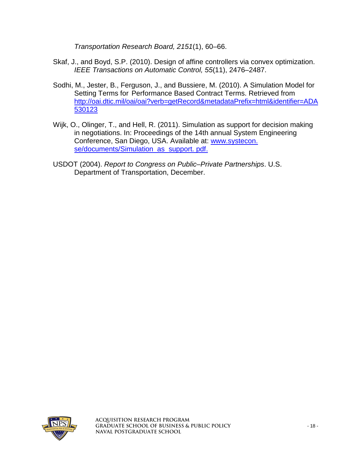*Transportation Research Board, 2151*(1), 60–66.

- Skaf, J., and Boyd, S.P. (2010). Design of affine controllers via convex optimization. *IEEE Transactions on Automatic Control, 55*(11), 2476–2487.
- Sodhi, M., Jester, B., Ferguson, J., and Bussiere, M. (2010). A Simulation Model for Setting Terms for Performance Based Contract Terms. Retrieved from [http://oai.dtic.mil/oai/oai?verb=getRecord&metadataPrefix=html&identifier=ADA](http://oai.dtic.mil/oai/oai?verb=getRecord&metadataPrefix=html&identifier=ADA530123) [530123](http://oai.dtic.mil/oai/oai?verb=getRecord&metadataPrefix=html&identifier=ADA530123)
- Wijk, O., Olinger, T., and Hell, R. (2011). Simulation as support for decision making in negotiations. In: Proceedings of the 14th annual System Engineering Conference, San Diego, USA. Available at: www.systecon. se/documents/Simulation\_as\_support. pdf.
- USDOT (2004). *Report to Congress on Public–Private Partnerships*. U.S. Department of Transportation, December.